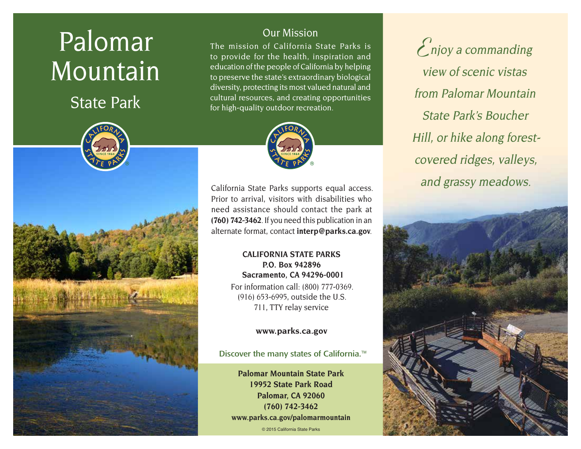# Palomar Mountain

State Park



# Our Mission

The mission of California State Parks is to provide for the health, inspiration and education of the people of California by helping to preserve the state's extraordinary biological diversity, protecting its most valued natural and cultural resources, and creating opportunities for high-quality outdoor recreation.



California State Parks supports equal access. Prior to arrival, visitors with disabilities who need assistance should contact the park at **(760) 742-3462**. If you need this publication in an alternate format, contact **[interp@parks.ca.gov](mailto:interp@parks.ca.gov)**.

# **CALIFORNIA STATE PARKS P.O. Box 942896 Sacramento, CA 94296-0001**

For information call: (800) 777-0369. (916) 653-6995, outside the U.S. 711, TTY relay service

# **[www.parks.ca.gov](http://www.parks.ca.gov)**

Discover the many states of California.<sup>™</sup>

**Palomar Mountain State Park 19952 State Park Road Palomar, CA 92060 (760) 742-3462 [www.parks.ca.gov/palomarmountain](http://www.parks.ca.gov/palomarmountain)**

© 2015 California State Parks

**E**njoy a commanding view of scenic vistas from Palomar Mountain State Park's Boucher Hill, or hike along forestcovered ridges, valleys, and grassy meadows.

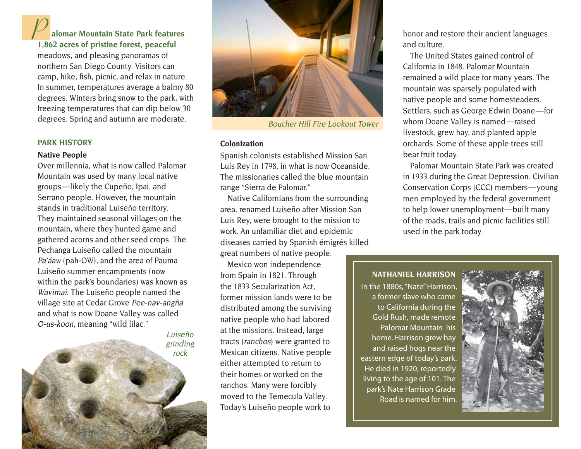**P alomar Mountain State Park features 1,862 acres of pristine forest, peaceful**  meadows, and pleasing panoramas of northern San Diego County. Visitors can camp, hike, fish, picnic, and relax in nature. In summer, temperatures average a balmy 80 degrees. Winters bring snow to the park, with freezing temperatures that can dip below 30 degrees. Spring and autumn are moderate. Boucher Hill Fire Lookout Tower

#### **PARK HISTORY**

#### **Native People**

Over millennia, what is now called Palomar Mountain was used by many local native groups — likely the Cupeño, Ipai, and Serrano people. However, the mountain stands in traditional Luiseño territory. They maintained seasonal villages on the mountain, where they hunted game and gathered acorns and other seed crops. The Pechanga Luiseño called the mountain Pa'áaw (pah-OW), and the area of Pauma Luiseño summer encampments (now within the park's boundaries) was known as Wavimai. The Luiseño people named the village site at Cedar Grove Pee-nav-angña and what is now Doane Valley was called O-us-koon, meaning "wild lilac."

> Luiseño grinding rock



#### **Colonization**

Spanish colonists established Mission San Luis Rey in 1798, in what is now Oceanside. The missionaries called the blue mountain range "Sierra de Palomar."

Native Californians from the surrounding area, renamed Luiseño after Mission San Luis Rey, were brought to the mission to work. An unfamiliar diet and epidemic diseases carried by Spanish émigrés killed great numbers of native people.

Mexico won independence from Spain in 1821. Through the 1833 Secularization Act, former mission lands were to be distributed among the surviving native people who had labored at the missions. Instead, large tracts (ranchos) were granted to Mexican citizens. Native people either attempted to return to their homes or worked on the ranchos. Many were forcibly moved to the Temecula Valley. Today's Luiseño people work to

honor and restore their ancient languages and culture.

The United States gained control of California in 1848. Palomar Mountain remained a wild place for many years. The mountain was sparsely populated with native people and some homesteaders. Settlers, such as George Edwin Doane— for whom Doane Valley is named-raised livestock, grew hay, and planted apple orchards. Some of these apple trees still bear fruit today.

Palomar Mountain State Park was created in 1933 during the Great Depression. Civilian Conservation Corps (CCC) members — young men employed by the federal government to help lower unemployment—built many of the roads, trails and picnic facilities still used in the park today.

#### **NATHANIEL HARRISON**

In the 1880s, "Nate" Harrison, a former slave who came to California during the Gold Rush, made remote Palomar Mountain his home. Harrison grew hay and raised hogs near the eastern edge of today's park. He died in 1920, reportedly living to the age of 101. The park's Nate Harrison Grade Road is named for him.

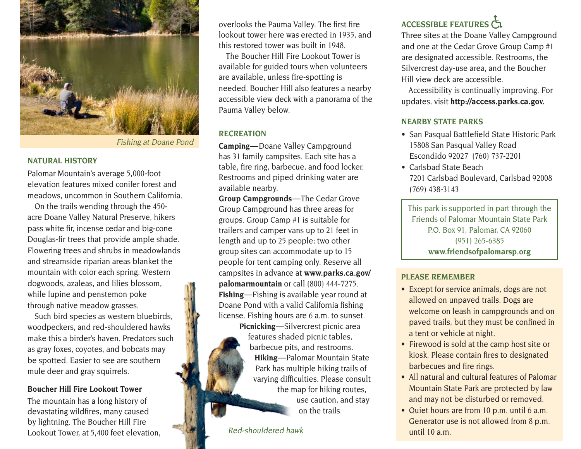

Fishing at Doane Pond

#### **NATURAL HISTORY**

Palomar Mountain's average 5,000-foot elevation features mixed conifer forest and meadows, uncommon in Southern California.

On the trails wending through the 450 acre Doane Valley Natural Preserve, hikers pass white fir, incense cedar and big-cone Douglas-fir trees that provide ample shade. Flowering trees and shrubs in meadowlands and streamside riparian areas blanket the mountain with color each spring. Western dogwoods, azaleas, and lilies blossom, while lupine and penstemon poke through native meadow grasses.

Such bird species as western bluebirds, woodpeckers, and red-shouldered hawks make this a birder's haven. Predators such as gray foxes, coyotes, and bobcats may be spotted. Easier to see are southern mule deer and gray squirrels.

#### **Boucher Hill Fire Lookout Tower**

The mountain has a long history of devastating wildfires, many caused by lightning. The Boucher Hill Fire Lookout Tower, at 5,400 feet elevation, overlooks the Pauma Valley. The first fire lookout tower here was erected in 1935, and this restored tower was built in 1948.

The Boucher Hill Fire Lookout Tower is available for guided tours when volunteers are available, unless fire-spotting is needed. Boucher Hill also features a nearby accessible view deck with a panorama of the Pauma Valley below.

#### **RECREATION**

**Camping**—Doane Valley Campground has 31 family campsites. Each site has a table, fire ring, barbecue, and food locker. Restrooms and piped drinking water are available nearby.

**Group Campgrounds** — The Cedar Grove Group Campground has three areas for groups. Group Camp #1 is suitable for trailers and camper vans up to 21 feet in length and up to 25 people; two other group sites can accommodate up to 15 people for tent camping only. Reserve all campsites in advance at **[www.parks.ca.gov/](http://www.parks.ca.gov/palomarmountain) [palomarmountain](http://www.parks.ca.gov/palomarmountain)** or call (800) 444-7275. **Fishing**—Fishing is available year round at Doane Pond with a valid California fishing license. Fishing hours are 6 a.m. to sunset.

**Picnicking**—Silvercrest picnic area features shaded picnic tables, barbecue pits, and restrooms. **Hiking**—Palomar Mountain State Park has multiple hiking trails of varying difficulties. Please consult the map for hiking routes, use caution, and stay on the trails.

Red-shouldered hawk

# **ACCESSIBLE FEATURES**

Three sites at the Doane Valley Campground and one at the Cedar Grove Group Camp #1 are designated accessible. Restrooms, the Silvercrest day-use area, and the Boucher Hill view deck are accessible.

Accessibility is continually improving. For updates, visit **[http://access.parks.ca.gov.](http://access.parks.ca.gov)**

## **NEARBY STATE PARKS**

- San Pasqual Battlefield State Historic Park 15808 San Pasqual Valley Road Escondido 92027 (760) 737-2201
- Carlsbad State Beach 7201 Carlsbad Boulevard, Carlsbad 92008 (769) 438-3143

This park is supported in part through the Friends of Palomar Mountain State Park P.O. Box 91, Palomar, CA 92060 (951) 265-6385 **[www.friendsofpalomarsp.org](http://www.friendsofpalomarsp.org)**

### **PLEASE REMEMBER**

- Except for service animals, dogs are not allowed on unpaved trails. Dogs are welcome on leash in campgrounds and on paved trails, but they must be confined in a tent or vehicle at night.
- Firewood is sold at the camp host site or kiosk. Please contain fires to designated barbecues and fire rings.
- All natural and cultural features of Palomar Mountain State Park are protected by law and may not be disturbed or removed.
- Quiet hours are from 10 p.m. until 6 a.m. Generator use is not allowed from 8 p.m. until 10 a.m.